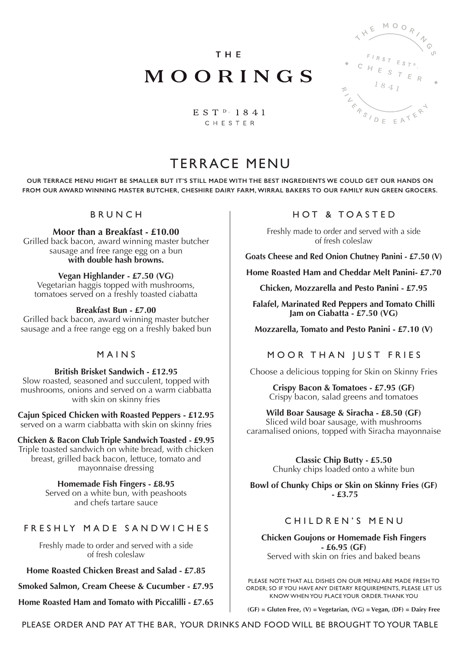**THE** 

MOORINGS



 $E S T P 1841$ CHESTER

# TERRACE MENU

**OUR TERRACE MENU MIGHT BE SMALLER BUT IT'S STILL MADE WITH THE BEST INGREDIENTS WE COULD GET OUR HANDS ON FROM OUR AWARD WINNING MASTER BUTCHER, CHESHIRE DAIRY FARM, WIRRAL BAKERS TO OUR FAMILY RUN GREEN GROCERS.** 

BRUNCH

**Moor than a Breakfast - £10.00**

Grilled back bacon, award winning master butcher sausage and free range egg on a bun **with double hash browns.**

**Vegan Highlander - £7.50 (VG)**

Vegetarian haggis topped with mushrooms, tomatoes served on a freshly toasted ciabatta

#### **Breakfast Bun - £7.00**

Grilled back bacon, award winning master butcher sausage and a free range egg on a freshly baked bun

#### MAINS

**British Brisket Sandwich - £12.95** Slow roasted, seasoned and succulent, topped with mushrooms, onions and served on a warm ciabbatta with skin on skinny fries

**Cajun Spiced Chicken with Roasted Peppers - £12.95** served on a warm ciabbatta with skin on skinny fries

**Chicken & Bacon Club Triple Sandwich Toasted - £9.95** Triple toasted sandwich on white bread, with chicken breast, grilled back bacon, lettuce, tomato and mayonnaise dressing

> **Homemade Fish Fingers - £8.95** Served on a white bun, with peashoots and chefs tartare sauce

### FRESHLY MADE SANDWICHES

Freshly made to order and served with a side of fresh coleslaw

**Home Roasted Chicken Breast and Salad - £7.85**

**Smoked Salmon, Cream Cheese & Cucumber - £7.95**

**Home Roasted Ham and Tomato with Piccalilli - £7.65**

## HOT & TOASTED

Freshly made to order and served with a side of fresh coleslaw

**Goats Cheese and Red Onion Chutney Panini - £7.50 (V)**

**Home Roasted Ham and Cheddar Melt Panini- £7.70**

**Chicken, Mozzarella and Pesto Panini - £7.95**

**Falafel, Marinated Red Peppers and Tomato Chilli Jam on Ciabatta - £7.50 (VG)**

**Mozzarella, Tomato and Pesto Panini - £7.10 (V)**

## MOOR THAN JUST FRIES

Choose a delicious topping for Skin on Skinny Fries

**Crispy Bacon & Tomatoes - £7.95 (GF)** Crispy bacon, salad greens and tomatoes

#### **Wild Boar Sausage & Siracha - £8.50 (GF)**

Sliced wild boar sausage, with mushrooms caramalised onions, topped with Siracha mayonnaise

> **Classic Chip Butty - £5.50** Chunky chips loaded onto a white bun

**Bowl of Chunky Chips or Skin on Skinny Fries (GF) - £3.75**

### CHILDREN'S MENU

**Chicken Goujons or Homemade Fish Fingers - £6.95 (GF)** Served with skin on fries and baked beans

PLEASE NOTE THAT ALL DISHES ON OUR MENU ARE MADE FRESH TO ORDER; SO IF YOU HAVE ANY DIETARY REQUIREMENTS, PLEASE LET US KNOW WHEN YOU PLACE YOUR ORDER. THANK YOU

**(GF) = Gluten Free, (V) = Vegetarian, (VG) = Vegan, (DF) = Dairy Free**

PLEASE ORDER AND PAY AT THE BAR, YOUR DRINKS AND FOOD WILL BE BROUGHT TO YOUR TABLE